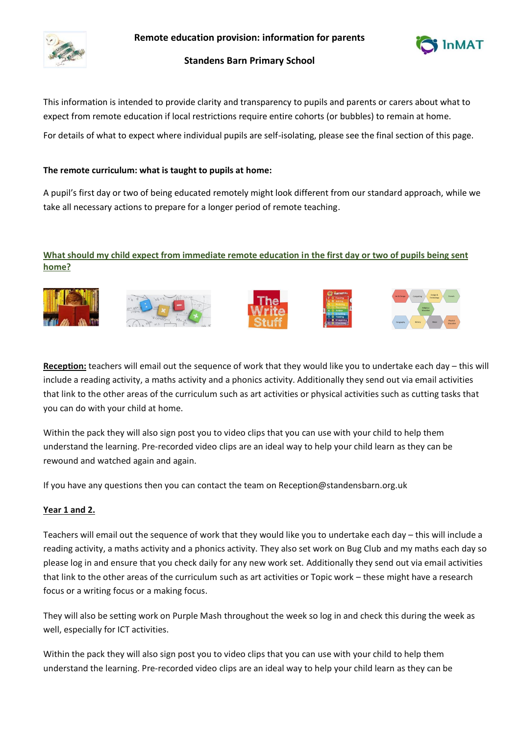

**Remote education provision: information for parents**



# **Standens Barn Primary School**

This information is intended to provide clarity and transparency to pupils and parents or carers about what to expect from remote education if local restrictions require entire cohorts (or bubbles) to remain at home.

For details of what to expect where individual pupils are self-isolating, please see the final section of this page.

## **The remote curriculum: what is taught to pupils at home:**

A pupil's first day or two of being educated remotely might look different from our standard approach, while we take all necessary actions to prepare for a longer period of remote teaching.

# **What should my child expect from immediate remote education in the first day or two of pupils being sent home?**











**Reception:** teachers will email out the sequence of work that they would like you to undertake each day – this will include a reading activity, a maths activity and a phonics activity. Additionally they send out via email activities that link to the other areas of the curriculum such as art activities or physical activities such as cutting tasks that you can do with your child at home.

Within the pack they will also sign post you to video clips that you can use with your child to help them understand the learning. Pre-recorded video clips are an ideal way to help your child learn as they can be rewound and watched again and again.

If you have any questions then you can contact the team on Reception@standensbarn.org.uk

## **Year 1 and 2.**

Teachers will email out the sequence of work that they would like you to undertake each day – this will include a reading activity, a maths activity and a phonics activity. They also set work on Bug Club and my maths each day so please log in and ensure that you check daily for any new work set. Additionally they send out via email activities that link to the other areas of the curriculum such as art activities or Topic work – these might have a research focus or a writing focus or a making focus.

They will also be setting work on Purple Mash throughout the week so log in and check this during the week as well, especially for ICT activities.

Within the pack they will also sign post you to video clips that you can use with your child to help them understand the learning. Pre-recorded video clips are an ideal way to help your child learn as they can be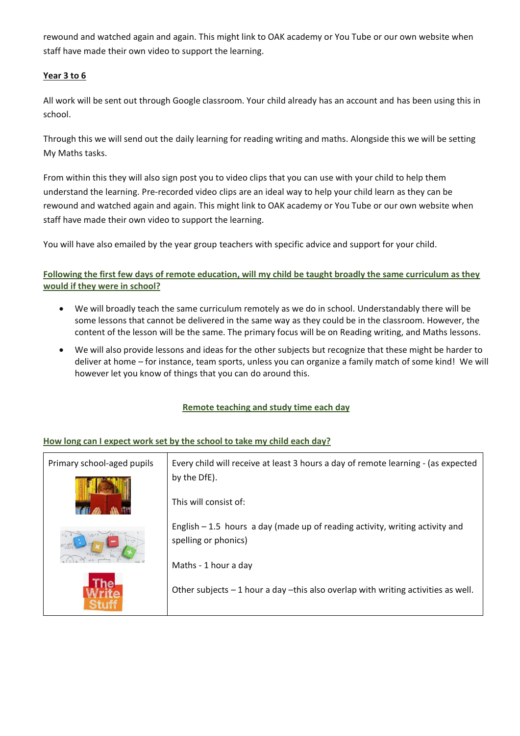rewound and watched again and again. This might link to OAK academy or You Tube or our own website when staff have made their own video to support the learning.

# **Year 3 to 6**

All work will be sent out through Google classroom. Your child already has an account and has been using this in school.

Through this we will send out the daily learning for reading writing and maths. Alongside this we will be setting My Maths tasks.

From within this they will also sign post you to video clips that you can use with your child to help them understand the learning. Pre-recorded video clips are an ideal way to help your child learn as they can be rewound and watched again and again. This might link to OAK academy or You Tube or our own website when staff have made their own video to support the learning.

You will have also emailed by the year group teachers with specific advice and support for your child.

# **Following the first few days of remote education, will my child be taught broadly the same curriculum as they would if they were in school?**

- We will broadly teach the same curriculum remotely as we do in school. Understandably there will be some lessons that cannot be delivered in the same way as they could be in the classroom. However, the content of the lesson will be the same. The primary focus will be on Reading writing, and Maths lessons.
- We will also provide lessons and ideas for the other subjects but recognize that these might be harder to deliver at home – for instance, team sports, unless you can organize a family match of some kind! We will however let you know of things that you can do around this.

## **Remote teaching and study time each day**

## **How long can I expect work set by the school to take my child each day?**

| Primary school-aged pupils | Every child will receive at least 3 hours a day of remote learning - (as expected<br>by the DfE).     |
|----------------------------|-------------------------------------------------------------------------------------------------------|
|                            | This will consist of:                                                                                 |
| $y = 2y$                   | English $-1.5$ hours a day (made up of reading activity, writing activity and<br>spelling or phonics) |
|                            | Maths - 1 hour a day                                                                                  |
|                            | Other subjects $-1$ hour a day -this also overlap with writing activities as well.                    |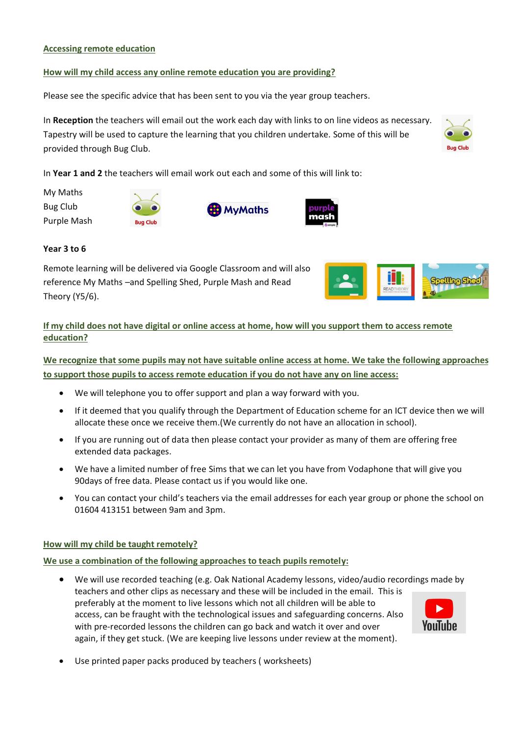### **Accessing remote education**

### **How will my child access any online remote education you are providing?**

Please see the specific advice that has been sent to you via the year group teachers.

In **Reception** the teachers will email out the work each day with links to on line videos as necessary. Tapestry will be used to capture the learning that you children undertake. Some of this will be provided through Bug Club.

In **Year 1 and 2** the teachers will email work out each and some of this will link to:

My Maths Bug Club Purple Mash







#### **Year 3 to 6**

Remote learning will be delivered via Google Classroom and will also reference My Maths –and Spelling Shed, Purple Mash and Read Theory (Y5/6).



# **If my child does not have digital or online access at home, how will you support them to access remote education?**

**We recognize that some pupils may not have suitable online access at home. We take the following approaches to support those pupils to access remote education if you do not have any on line access:**

- We will telephone you to offer support and plan a way forward with you.
- If it deemed that you qualify through the Department of Education scheme for an ICT device then we will allocate these once we receive them.(We currently do not have an allocation in school).
- If you are running out of data then please contact your provider as many of them are offering free extended data packages.
- We have a limited number of free Sims that we can let you have from Vodaphone that will give you 90days of free data. Please contact us if you would like one.
- You can contact your child's teachers via the email addresses for each year group or phone the school on 01604 413151 between 9am and 3pm.

#### **How will my child be taught remotely?**

#### **We use a combination of the following approaches to teach pupils remotely:**

- We will use recorded teaching (e.g. Oak National Academy lessons, video/audio recordings made by teachers and other clips as necessary and these will be included in the email. This is preferably at the moment to live lessons which not all children will be able to access, can be fraught with the technological issues and safeguarding concerns. Also YouTube with pre-recorded lessons the children can go back and watch it over and over again, if they get stuck. (We are keeping live lessons under review at the moment).
- Use printed paper packs produced by teachers ( worksheets)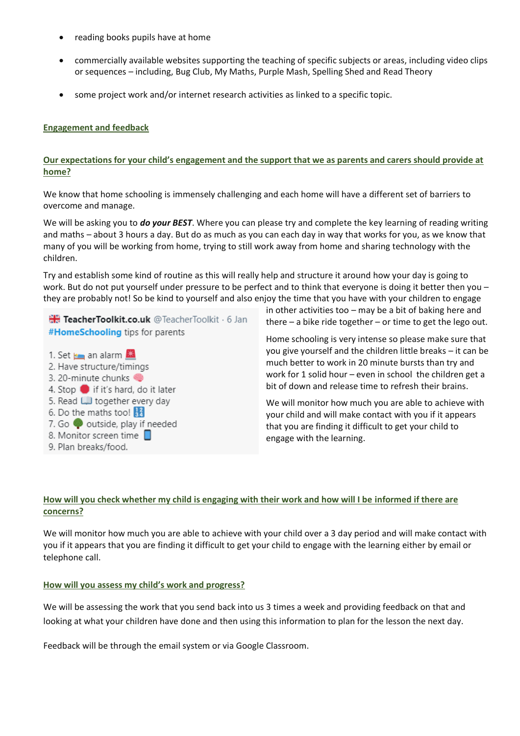- reading books pupils have at home
- commercially available websites supporting the teaching of specific subjects or areas, including video clips or sequences – including, Bug Club, My Maths, Purple Mash, Spelling Shed and Read Theory
- some project work and/or internet research activities as linked to a specific topic.

### **Engagement and feedback**

### **Our expectations for your child's engagement and the support that we as parents and carers should provide at home?**

We know that home schooling is immensely challenging and each home will have a different set of barriers to overcome and manage.

We will be asking you to *do your BEST*. Where you can please try and complete the key learning of reading writing and maths – about 3 hours a day. But do as much as you can each day in way that works for you, as we know that many of you will be working from home, trying to still work away from home and sharing technology with the children.

Try and establish some kind of routine as this will really help and structure it around how your day is going to work. But do not put yourself under pressure to be perfect and to think that everyone is doing it better then you – they are probably not! So be kind to yourself and also enjoy the time that you have with your children to engage

TeacherToolkit.co.uk @TeacherToolkit · 6 Jan #HomeSchooling tips for parents

- 1. Set **Example 1.** Set **Example** 2. Have structure/timings 3. 20-minute chunks 4. Stop if it's hard, do it later 5. Read U together every day 6. Do the maths too!  $\frac{12}{34}$ 7. Go volutside, play if needed
- 8. Monitor screen time [
- 9. Plan breaks/food.

in other activities too – may be a bit of baking here and there  $-$  a bike ride together  $-$  or time to get the lego out.

Home schooling is very intense so please make sure that you give yourself and the children little breaks – it can be much better to work in 20 minute bursts than try and work for 1 solid hour – even in school the children get a bit of down and release time to refresh their brains.

We will monitor how much you are able to achieve with your child and will make contact with you if it appears that you are finding it difficult to get your child to engage with the learning.

# **How will you check whether my child is engaging with their work and how will I be informed if there are concerns?**

We will monitor how much you are able to achieve with your child over a 3 day period and will make contact with you if it appears that you are finding it difficult to get your child to engage with the learning either by email or telephone call.

#### **How will you assess my child's work and progress?**

We will be assessing the work that you send back into us 3 times a week and providing feedback on that and looking at what your children have done and then using this information to plan for the lesson the next day.

Feedback will be through the email system or via Google Classroom.